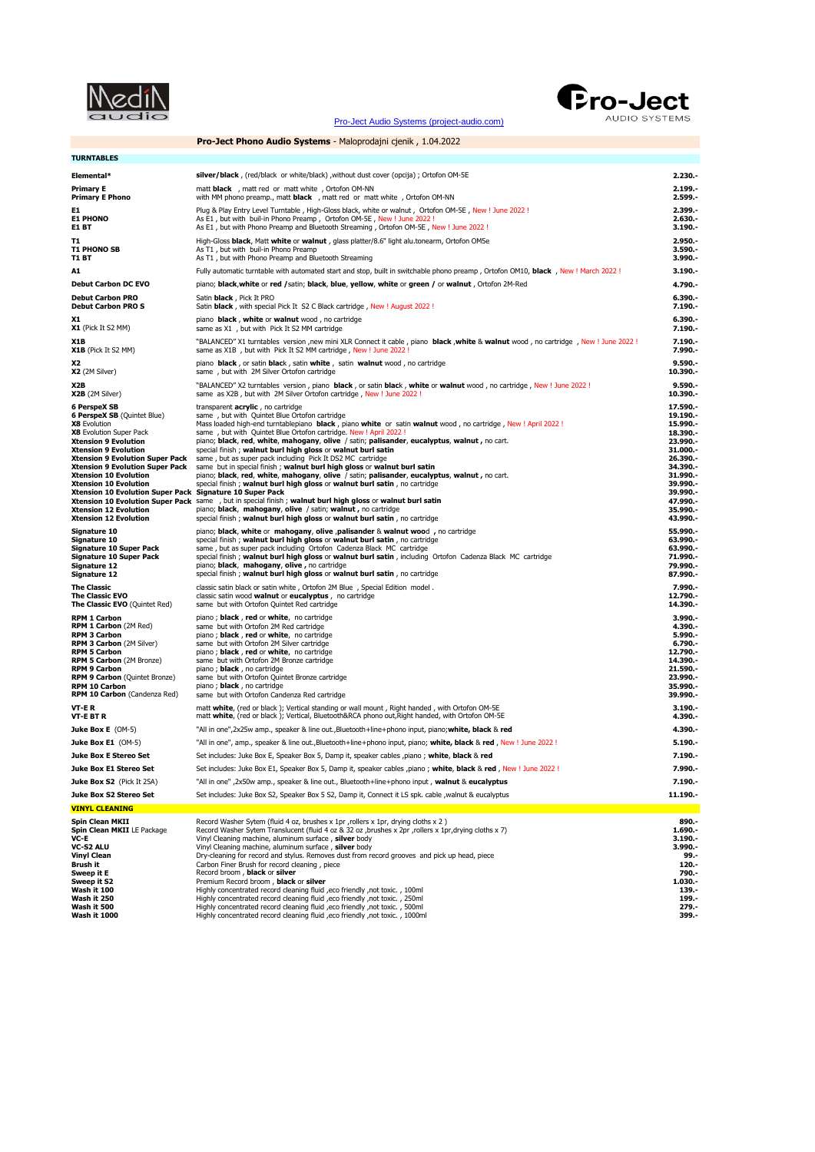| I<br>ı<br>in the control of the control of the control of the control of the control of the control of the control of th<br>in 1989. |
|--------------------------------------------------------------------------------------------------------------------------------------|
|                                                                                                                                      |

[Pro-Ject Audio Systems \(project-audio.com\)](https://www.project-audio.com/en/)



**Pro-Ject Phono Audio Systems** - Maloprodajni cjenik , 1.04.2022 **TURNTABLES Elemental\* silver/black** , (red/black or white/black) ,without dust cover (opcija) ; Ortofon OM-5E **2.230.- Primary E Primary E Primary E Primary E 2.199.**<br>**Primary E Phono 2.599.** With MM phono preamp., matt black , matt red or matt white , Ortofon OM-NN **2.599.** with MM phono preamp., matt **black** , matt red or matt white , Ortofon OM-NN E**1 Propy** Plug & Play Entry Level Turntable , High-Gloss black, white or walnut , Ortofon OM-5E , New ! June 2022 !<br>E1 **PHONO Propy Aready Aready Aready Propy Preamp** , Ortofon OM-5E , New ! June 2022 !<br>E**1 BT Propy Aread T1** High-Gloss **black**, Matt white or walnut , glass platter/8.6" light alu.tonearm, Ortofon OM5e<br> **T1 PHONO SB** As T1, but with Phono Preamp and Bluetooth Streaming<br> **T1 BT** As T1, but with Phono Preamp and Bluetooth Str **T1 PHONO SB As T1** , but with buil-in Phono Preamp<br> **As T1 BT As T1** , but with Phono Preamp and Bluetooth Streaming **3.990.-**<br> **T1 BT As T1 DIPLIER ASSESS 3.990.**-**A1** Fully automatic turntable with automated start and stop, built in switchable phono preamp , Ortofon OM10, **black** , New ! March 2022 ! **3.190.- Debut Carbon DC EVO** piano; **black**,**white** or **red /**satin; **black**, **blue**, **yellow**, **white** or **green /** or **walnut** , Ortofon 2M-Red **4.790.- Debut Carbon PRO** Satin **black** , Pick It PRO **6.390.- Debut Carbon PRO S** Satin **black** , with special Pick It S2 C Black cartridge , New ! August 2022 ! **7.190.- X1 X1 piano black** , white or walnut wood , no cartridge **6.390.**<br>**X1** (Pick If S2 MM) same as X1 but with Pick If S2 MM cartridge  $x$  same as X1 , but with Pick It S2 MM cartridge NIB (Pick It S2 MM) (New 1922 II and NCED" X1 turntables version ,new mini XLR Connect it cable , piano black ,white & walnut wood , no cartridge , New ! June 2022 ! 7.190.<br>NiB (Pick It S2 MM) same as X1B , but with Pick I X2 **Piano black** , or satin **black** , satin **white** , satin **walnut** wood , no cartridge **10.390.-**<br> **X2** (2M Silver) same , but with 2M Silver Ortofon cartridge %X2B (2007). Now the U.S. Same of Macket David State of Walnut Word , in cartidge , New ! June 2022<br>1**0.390. Same as X2B** , but with 2M Silver Ortofon cartridge , New ! June 2022 ! Now to actridge , New ! June 2022 **6 PerspeX SB**<br> **6 PerspeX SB** (Quintet Blue) same , but with Quintet Blue Ortofon cartridge<br> **19.190.-**<br> **19.190.-**<br> **18.390.-**<br> **18.390.-**<br> **18.390.-**<br> **18.390.-**<br> **18.390.-**Some are that the United Elue Ortofon cartridge<br>
Some parallel and the United Elue Ortofon cartridge. New 1 April 2022 1<br>
X8 Evolution Super Pack Same, but with Quintet Blue Ortofon cartridge. New 1 April 2022 1<br>
X8 Evolut **Xtension 10 Evolution Super Pack** same , but in special finish ; **walnut burl high gloss** or **walnut burl satin 47.990.- Xtension 12 Evolution** piano; **black**, **mahogany**, **olive** / satin; **walnut ,** no cartridge **35.990.- Xtension 12 Evolution** special finish ; **walnut burl high gloss** or **walnut burl satin** , no cartridge **43.990.-** Signature 10 piano; black, white or mahogany, olive ,palisander & walnut wood , no cartridge special finish ; walnut burling holes or walnut burling and the special finish ; walnut burling plose or walnut burling discretio **The Classic Classic Satin black or satin white , Ortofon 2M Blue , Special Edition model . 7.990.**<br> **The Classic EVO** Classic satin wood **walnut or eucalvotus** . no cartridge **COV COVIC 12.790.**<br> **The Classic EVO** Cla **The Classic EVO** classic satin wood **walnut** or **eucalyptus** , no cartridge **12.790.**<br> **14.390. 14.390.** Same but with Ortofon Quintet Red cartridge **14.390.** same but with Ortofon Quintet Red cartridge **RPM 1 Carbon** piano ; **black** , **red** or **white**, no cartridge **3.990.- RPM 1 Carbon** (2M Red) same but with Ortofon 2M Red cartridge **4.390.- RPM 3 Carbon** piano ; **black** , **red** or **white**, no cartridge **5.990.- RPM 3 Carbon Example 3 Carbon CM Silver Carbon Control But with Ortofon 2M Silver cartridge 6.790.**<br> **RPM 3 Carbon** (2M Silver) same but with Ortofon 2M Silver cartridge **6.790.**<br> **RPM 5 Carbon 12.790.**<br> **RPM 5 Ca RPM 5 Carbon** piano ; **black** , **red** or white, no cartridge **12.790.**<br>**RPM 5 Carbon** (2M Bronze) same but with Ortofon 2M Bronze cartridge **12.790.**<br>**RPM 9 Carbon** (2M Bronze) same but with Ortofon 2M Bronze cartridge **1** RPM 5 Carbon (2M Bronze) same but with Ortofon 2M Bronze cartridge<br>RPM 9 Carbon 19 plano ; black , no catrridge<br>RPM 9 Carbon (Quintet Bronze) same but with Ortofon Quintet Bronze cartridge 19 and 19 and 19 and 19 and 19 an **RPM 10 Carbon** (Counce Broadcard School School and School School School School School School School School School School School School School School School School School School School School School School School School Sc **RPM 10 Carbon** (Candenza Red) same but with Ortofon Candenza Red cartridge **39.990.- VT-E R matt white**, (red or black ); Vertical standing or wall mount , Right handed , with Ortofon OM-5E **3.190.**<br>**1.390.** matt white, (red or black ); Vertical, Bluetooth&RCA phono out, Right handed, with Ortofon OM-5E matt **white**, (red or black ); Vertical, Bluetooth&RCA phono out, Right handed, with Ortofon OM-5E **Juke Box E** (OM-5) "All in one",2x25w amp., speaker & line out.,Bluetooth+line+phono input, piano;**white, black** & **red 4.390.- Juke Box E1** (OM-5) "All in one", amp., speaker & line out.,Bluetooth+line+phono input, piano; **white, black** & **red** , New ! June 2022 ! **5.190.- Juke Box E Stereo Set** Set includes: Juke Box E, Speaker Box 5, Damp it, speaker cables ,piano ; **white**, **black** & **red 7.190.- Juke Box E1 Stereo Set** Set includes: Juke Box E1, Speaker Box 5, Damp it, speaker cables ,piano ; white, black & red , New ! June 2022 ! **7.990.**-**Juke Box S2** (Pick It 25A) "All in one" ,2x50w amp., speaker & line out., Bluetooth+line+phono input , **walnut** & **eucalyptus 7.190.- Juke Box S2 Stereo Set** Set includes: Juke Box S2, Speaker Box 5 S2, Damp it, Connect it LS spk. cable ,walnut & eucalyptus **11.190. VINYL CLEANING** Spin Clean MKII **Supper Community Community Community Community Community Community Community Community Communit<br>Spin Clean MKII LE Package Record Washer Sytem Translucent (fluid 4 oz & 32 oz ,brushes x 2pr ,rollers x 1pr, Spin Clean MKII**<br> **VC-E** Record Washer Sytem Translucent (fluid 4 oz & 32 oz ,brushes x 2pr ,rollers x 1pr,drying cloths x 2)<br> **VC-E** Vinyl Cleaning machine, aluminum surface , **silver** body<br> **VC-E2 ALU VC-S2 ALU 1.69** VC-S2 ALU Started and the Vinyl Cleaning machine, aluminum surface , **silver** body<br>1999- Dry-cleaning for record and stylus. Removes dust from record grooves and pick up head, piece<br>1909- Started and Ther Brush for record -Sweep it S2<br>Mash it 100 Filiply concentrated record deaning fluid ,eco friendly ,not toxic. , 100ml<br>Mash it 100 Filiply concentrated record deaning fluid ,eco friendly ,not toxic. , 250ml<br>Mash it 500 Filiply concentrated **Wash it 250**<br> **Wash it 250** Highly concentrated record cleaning fluid ,eco friendly ,not toxic. , 250ml<br> **Wash it 5000** Highly concentrated record cleaning fluid ,eco friendly ,not toxic. , 250ml<br> **Wash it 1000** Highly co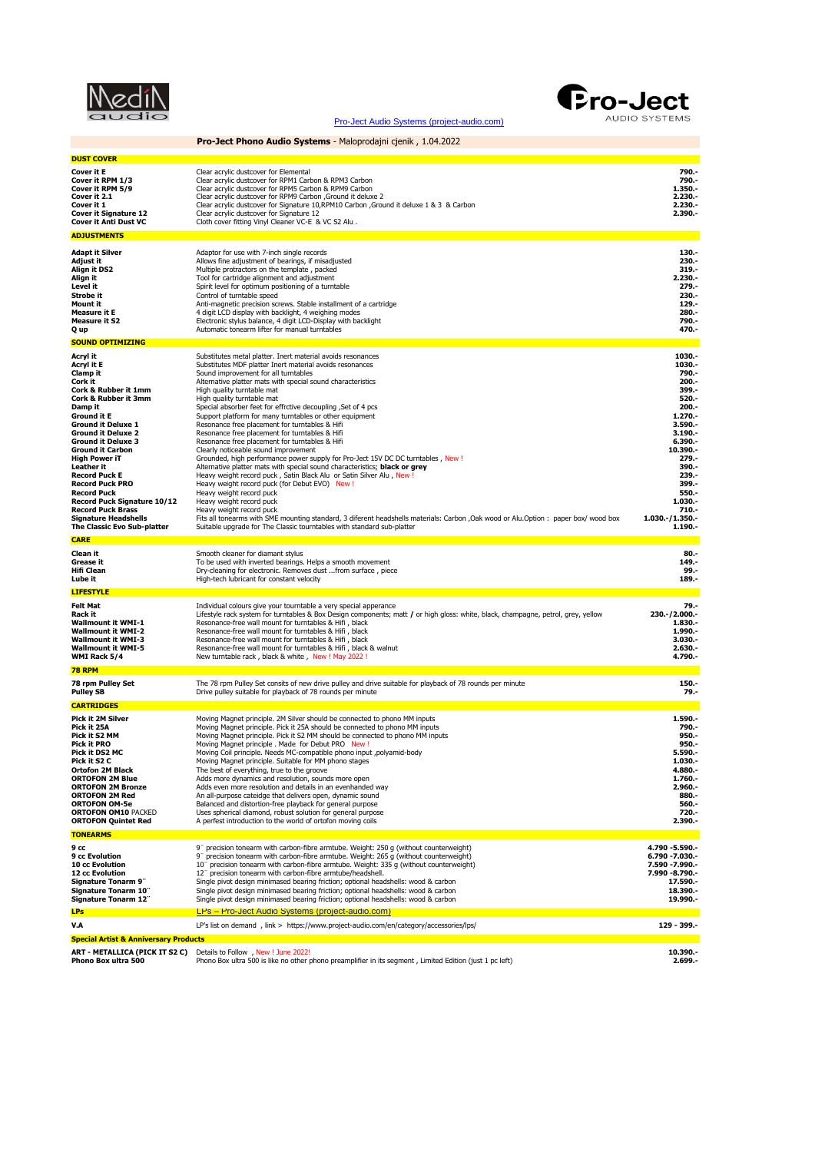| ı<br><b>Service Service</b><br>in the control of the control of the control of the control of the control of the control of the control of th |
|-----------------------------------------------------------------------------------------------------------------------------------------------|
|                                                                                                                                               |

[Pro-Ject Audio Systems \(project-audio.com\)](https://www.project-audio.com/en/)

**Pro-Ject Phono Audio Systems** - Maloprodajni cjenik , 1.04.2022



**DUST COVER** Cover it E<br>Cover it RPM 1/3 Clear acrylic dustcover for Elemental<br>Cover it RPM 5/9 Clear acrylic dustcover for RPM Carbon & RPM3 Carbon<br>Cover it R21 State acrylic dustcover for RPM5 Carbon & RPM9 Carbon<br>Cover it 2.1 2.230. **Cover it RPM 1/3**<br> **Cover it RPM 1/3**<br> **Cover it RPM 5/9**<br> **Cover it RPM 5/9**<br> **Cover it 2.1**<br> **Cover it 2.1**<br> **Cover it 2.1**<br> **Cover it 2.1**<br> **Cover it 2.30.-**<br> **Cover it 2.30.-**<br> **Cover it 3.30.-**<br> **Cover it Signature 1 Cover it Signature 12** Clear acrylic dustcover for Signature 12 **2.390.**<br>Cover it Anti Dust VC Cloth cover fitting Vinyl Cleaner VC-E & VC S2 Alu . **ADJUSTMENTS Adapt it Silver Adaptor for use with 7-inch single records 130.-**<br>Adjust it **Adjustic Constant Adjustment of bearings, if misadjusted <b>Adjustic Constant Constant Constant Constant Align it DS2**<br> **Align it DS2** Multiple protractors on the template , packed **319.**<br> **Align it DS2** Multiple protractors on the template , packed **319.**<br> **Align it DS2** Multiple protractors on the template , packed **319.**<br> **Align it Example 2.230.**<br> **Level it Example 2.230.**<br> **Level it** Spirit level for optimum positioning of a turntable **279. Strobe it**<br>**Strobe it** Control of turntable speed **230.**<br>**Mount it** Anti-magnetic precision screws. Stable installment of a cartridge **230.**<br>**Mount it** Anti-magnetic precision screws. Stable installment of a cartridge **23 Mount it** Anti-magnetic precision screws. Stable installment of a cartridge **129.- Measure it E** 4 digit LCD display with backlight, 4 weighing modes **280.- Measure it S2 Electronic stylus balance, 4 digit LCD-Display with backlight <b>1980.**<br> **Q up Property of the Automatic tonearm lifter for manual turntables <b>470.**<br> **Q up Automatic tonearm lifter for manual turntables SOUND OPTIMIZING** A**cryl it in the community of the Substitutes** metal platter. Inert material avoids resonances<br>**Acryl it E** Frank Substitutes MDF platter Inert material avoids resonances<br>C**lamp it in the community of the Substitute of the Coryl it**<br> **Cork it** Alternative platter material avoids resonances<br> **Clamp it** Substitutes MDF platter Inert material avoids resonances<br> **Cork it Alternative platter material sound characteristics**<br> **Cork it alternative Cork & Rubber it 1mm**<br> **Cork & Rubber it 1mm**<br> **Cork & Rubber it 3mm**<br> **Cork & Rubber it 3mm**<br> **Cork & Rubber it 3mm**<br> **Cork & Rubber it 3mm**<br> **Cork & Rubber it 3mm**<br> **Cork & Rubber it 3mm**<br> **Cork & Rubber it 3mm**<br> **Cork Cork & Rubber it 3mm**<br> **Cork & Rubber it 3mm**<br> **Cork & Rubber it 3mm**<br> **Cork & Rubber it 3mm**<br> **Expecial absorber feet for elgonal it E**<br>
Support platform for many **Damage is Special absorber feet for effrctive decoupling , Set of 4 pcs Ground it E** Support platform for many turntables or other equipment<br> **Ground it Deluxe 1** Resonance free placement for turntables & Hifi **Ground it Deluxe 1**<br> **Ground it Deluxe 2**<br> **Ground it Deluxe 2**<br> **Ground it Deluxe 3**<br> **Ground it Carbon**<br> **Ground it Carbon**<br> **Ground it Carbon**<br> **Ground it Carbon**<br> **Ground it Carbon**<br> **Ground it Carbon**<br> **Ground it Car** Ground it Deluxe 2 Resonance free placement for turntables & Hifi<br>Ground it Deluxe 3 Resonance free placement for turntables & Hifi<br>Ground it Carbon Clearly noticeable sound improvement **High Power iT** Grounded, high performance power supply for Pro-Ject 15V DC DC turntables , New !<br> **Leather it Alternative platter mats with special sound characteristics: black or grey** L**eather it channed and the final community** of the and the state of the state of the state of the state of the s<br>Record Puck E and the state of the state of the state of the state of the state of the state of the state of **Record Puck** Heavy weight record puck **550.-** -**Record Puck Signature 10/12** Heavy weight record puck<br>**Record Puck Brass Heavy** weight record puck<br>**Signature Headshells Fit**s all tonearms with SME mounting standard, 3 diferent headshells materials: Carbon ,Oak wood or **CARE Clean it** Smooth cleaner for diamant stylus **80.**<br> **Crease it** Smooth cleaner for diamant stylus a smooth movement **149.**<br> **Sigmant Communication 149.** Grease it<br>
To be used with inverted bearings. Helps a smooth movement<br> **Hifi Clean**<br> **Hifi Clean Hifi Clean Pry-cleaning for electronic. Removes dust ...from surface** , piece **189.-**<br> **Lube it Example 2008 High-tech lubricant for constant velocity <b>189.-**<br> **Lube it Proposed and State and State 2008 189.-LIFESTYLE** -**.79 .** Individual colours give your tourntable a very special apperance<br>**Rack it - https://** Exteract system for turntables & Box Design components; matt / or high gloss: white, black, champagne, petrol, grey, yellow **23 Wallmount it WMI-2** Resonance-free wall mount for turntables & Hifi , black **1.990.**<br> **Wallmount it WMI-3** Resonance-free wall mount for turntables & Hifi , black **1.990. Wallmount it WMI-5** Resonance-free wall mount for turntables & Hifi , black & walnut **and the search of the search of the search of the search of the search of the search of the search of the search of the search of the s 78 RPM** -150. The 78 rpm Pulley Set Consits of new drive pulley and drive suitable for playback of 78 rounds per minute<br>Pulley SB Dutch Set Drive pulley suitable for playback of 78 rounds per minute **CARTRIDGES Pick it 2M Silver Moving Magnet principle.** 2M Silver should be connected to phono MM inputs **1.590.**<br>**Pick it 25A CONNECT MOVING Magnet principle.** Pick it 25A should be connected to phono MM inputs **1990. Pick it 25A** Moving Magnet principle. Pick it 25A should be connected to phono MM inputs **790.-** Pick it S2 MM Moving Magnet principle. Pick it S2 MM should be connected to phono MM inputs<br>Pick it PRO Moving Magnet principle . Made for Debut PRO New !<br>Pick it DS2 MC Moving Coil principle. Needs MC-compatible phono inp **Pick it S2 C** Moving Magnet principle. Suitable for MM phono stages **1.030.**<br> **Ortofon 2M Black** The best of everything, true to the groove **1.030.**<br> **1.030. Ortofon 2M Black** The best of everything, true to the groove open<br> **ORTOFON 2M Blue** Adds more dynamics and resolution, sounds more open<br> **ORTOFON 2M Bronze** Adds even more resolution and details in an evenhanded way<br> **OR ORTOFON OM10** PACKED Uses spherical diamond, robust solution for general purpose **120.-**<br>**ORTOFON Quintet Red** A perfest introduction to the world of ortofon moving coils **2.390.-**<br>**DRTOFON Quintet Red** A perfest introduc **TONEARMS 9 cc** 9¨ precision tonearm with carbon-fibre armtube. Weight: 250 g (without counterweight) **4.790 -5.590.- 9 cc Evolution** 9¨ precision tonearm with carbon-fibre armtube. Weight: 265 g (without counterweight) **6.790 -7.030.- 10° cc Evolution**<br> **10¨ precision tonearm with carbon-fibre armtube. Weight: 250 g (without counterweight)**<br> **10** cc Evolution **10¨** precision tonearm with carbon-fibre armtube. Weight: 335 g (without counterweight)<br> **10 12 cc Evolution** 12¨ precision tonearm with carbon-fibre armtube/headshell. **7.990 -8.790.- Signature Tonarm 9¨** Single pivot design minimased bearing friction; optional headshells: wood & carbon **17.590.- Signature Tonarm 10¨** Single pivot design minimased bearing friction; optional headshells: wood & carbon **18.390.- Signature Tonarm 12¨** Single pivot design minimased bearing friction; optional headshells: wood & carbon **19.990.- LPs** [LPs – Pro-Ject Audio Systems \(project-audio.com\)](https://www.project-audio.com/en/category/lps/) **V.A** LP's list on demand , link > https://www.project-audio.com/en/category/accessories/lps/ **129 - 399.- Special Artist & Anniversary Prod** 

ART - METALLICA (PICK IT S2 C) Details to Follow , New ! June 2022!<br>Phono Box ultra 500 Phono Box ultra 500 is like no other phono preamplifier in its segment , Limited Edition (just 1 pc left) 2.699.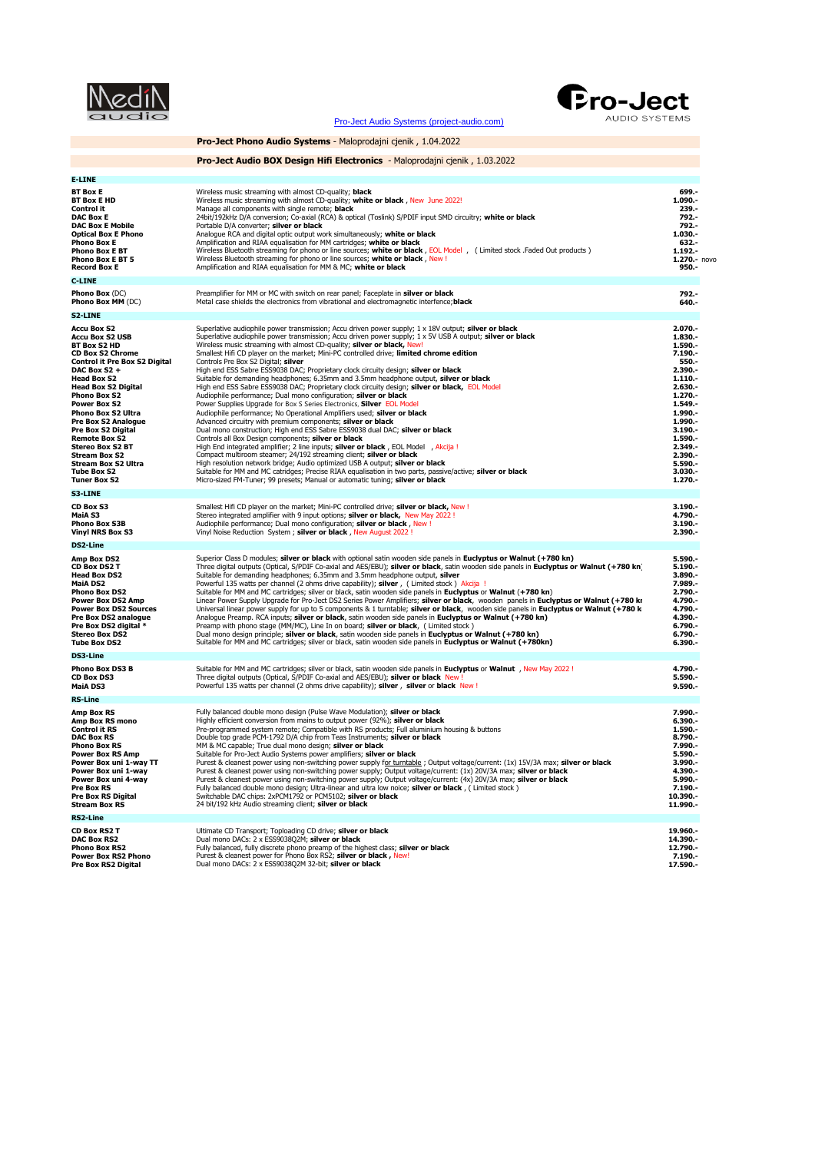|                                                                                                                                                                                                                                                                                                                                                                                                                       | <b>Pro-Ject</b><br>AUDIO SYSTEMS<br>Pro-Ject Audio Systems (project-audio.com)                                                                                                                                                                                                                                                                                                                                                                                                                                                                                                                                                                                                                                                                                                                                                                                                                                                                                                                                                                                                                                                                                                                                                                                                                                                                                                                                                                                                                                                                                                                 |                                                                                                                                                                                                                             |
|-----------------------------------------------------------------------------------------------------------------------------------------------------------------------------------------------------------------------------------------------------------------------------------------------------------------------------------------------------------------------------------------------------------------------|------------------------------------------------------------------------------------------------------------------------------------------------------------------------------------------------------------------------------------------------------------------------------------------------------------------------------------------------------------------------------------------------------------------------------------------------------------------------------------------------------------------------------------------------------------------------------------------------------------------------------------------------------------------------------------------------------------------------------------------------------------------------------------------------------------------------------------------------------------------------------------------------------------------------------------------------------------------------------------------------------------------------------------------------------------------------------------------------------------------------------------------------------------------------------------------------------------------------------------------------------------------------------------------------------------------------------------------------------------------------------------------------------------------------------------------------------------------------------------------------------------------------------------------------------------------------------------------------|-----------------------------------------------------------------------------------------------------------------------------------------------------------------------------------------------------------------------------|
|                                                                                                                                                                                                                                                                                                                                                                                                                       | <b>Pro-Ject Phono Audio Systems</b> - Maloprodajni cjenik, 1.04.2022                                                                                                                                                                                                                                                                                                                                                                                                                                                                                                                                                                                                                                                                                                                                                                                                                                                                                                                                                                                                                                                                                                                                                                                                                                                                                                                                                                                                                                                                                                                           |                                                                                                                                                                                                                             |
|                                                                                                                                                                                                                                                                                                                                                                                                                       | <b>Pro-Ject Audio BOX Design Hifi Electronics</b> - Maloprodajni cjenik, 1.03.2022                                                                                                                                                                                                                                                                                                                                                                                                                                                                                                                                                                                                                                                                                                                                                                                                                                                                                                                                                                                                                                                                                                                                                                                                                                                                                                                                                                                                                                                                                                             |                                                                                                                                                                                                                             |
| <b>E-LINE</b>                                                                                                                                                                                                                                                                                                                                                                                                         |                                                                                                                                                                                                                                                                                                                                                                                                                                                                                                                                                                                                                                                                                                                                                                                                                                                                                                                                                                                                                                                                                                                                                                                                                                                                                                                                                                                                                                                                                                                                                                                                |                                                                                                                                                                                                                             |
| BT Box E<br>BT Box E HD<br>Control it<br><b>DAC Box E</b><br><b>DAC Box E Mobile</b><br>Optical Box E Phono<br>Phono Box E<br>Phono Box E BT<br><b>Phono Box E BT 5</b><br>Record Box E<br><b>C-LINE</b>                                                                                                                                                                                                              | Wireless music streaming with almost CD-quality; <b>black</b><br>Wireless music streaming with almost CD-quality; white or black, New June 2022!<br>Manage all components with single remote; <b>black</b><br>24bit/192kHz D/A conversion; Co-axial (RCA) & optical (Toslink) S/PDIF input SMD circuitry; white or black<br>Portable D/A converter; silver or black<br>Analogue RCA and digital optic output work simultaneously; white or black<br>Amplification and RIAA equalisation for MM cartridges; white or black<br>Wireless Bluetooth streaming for phono or line sources; white or black, EOL Model, (Limited stock .Faded Out products)<br>Wireless Bluetooth streaming for phono or line sources; white or black, New!<br>Amplification and RIAA equalisation for MM & MC; white or black                                                                                                                                                                                                                                                                                                                                                                                                                                                                                                                                                                                                                                                                                                                                                                                         | 699.-<br>1.090.-<br>239.-<br>792.-<br>792.-<br>1.030.-<br>632.-<br>$1.192 -$<br>$1.270 - n$ ovo<br>950.-                                                                                                                    |
| <b>Phono Box (DC)</b>                                                                                                                                                                                                                                                                                                                                                                                                 | Preamplifier for MM or MC with switch on rear panel; Faceplate in silver or black                                                                                                                                                                                                                                                                                                                                                                                                                                                                                                                                                                                                                                                                                                                                                                                                                                                                                                                                                                                                                                                                                                                                                                                                                                                                                                                                                                                                                                                                                                              | 792.-                                                                                                                                                                                                                       |
| Phono Box MM (DC)                                                                                                                                                                                                                                                                                                                                                                                                     | Metal case shields the electronics from vibrational and electromagnetic interfence; black                                                                                                                                                                                                                                                                                                                                                                                                                                                                                                                                                                                                                                                                                                                                                                                                                                                                                                                                                                                                                                                                                                                                                                                                                                                                                                                                                                                                                                                                                                      | 640.-                                                                                                                                                                                                                       |
| S2-LINE<br><b>Accu Box S2</b><br><b>Accu Box S2 USB</b><br>BT Box S2 HD<br><b>CD Box S2 Chrome</b><br>Control it Pre Box S2 Digital<br>DAC Box S2+<br>Head Box S2<br><b>Head Box S2 Digital</b><br>Phono Box S2<br>Power Box S2<br>Phono Box S2 Ultra<br>Pre Box S2 Analogue<br>Pre Box S2 Digital<br>Remote Box S2<br><b>Stereo Box S2 BT</b><br>Stream Box S2<br>Stream Box S2 Ultra<br>Tube Box S2<br>Tuner Box S2 | Superlative audiophile power transmission; Accu driven power supply; $1 \times 18V$ output; silver or black<br>Superlative audiophile power transmission; Accu driven power supply; 1 x 5V USB A output; silver or black<br>Wireless music streaming with almost CD-quality; silver or black, New!<br>Smallest Hifi CD player on the market; Mini-PC controlled drive; limited chrome edition<br>Controls Pre Box S2 Digital; silver<br>High end ESS Sabre ESS9038 DAC; Proprietary clock circuity design; silver or black<br>Suitable for demanding headphones; 6.35mm and 3.5mm headphone output, silver or black<br>High end ESS Sabre ESS9038 DAC; Proprietary clock circuity design; silver or black, EOL Model<br>Audiophile performance; Dual mono configuration; silver or black<br>Power Supplies Upgrade for Box S Series Electronics, Silver EOL Model<br>Audiophile performance; No Operational Amplifiers used; silver or black<br>Advanced circuitry with premium components; silver or black<br>Dual mono construction; High end ESS Sabre ESS9038 dual DAC; silver or black<br>Controls all Box Design components; silver or black<br>High End integrated amplifier; 2 line inputs; silver or black, EOL Model, Akcija !<br>Compact multiroom steamer; 24/192 streaming client; silver or black<br>High resolution network bridge; Audio optimized USB A output; silver or black<br>Suitable for MM and MC catridges; Precise RIAA equalisation in two parts, passive/active; silver or black<br>Micro-sized FM-Tuner; 99 presets; Manual or automatic tuning; silver or black | $2.070 -$<br>1.830.-<br>1.590.-<br>$7.190 -$<br>550.-<br>$2.390 -$<br>$1.110 -$<br>$2.630 -$<br>$1.270 -$<br>1.549.-<br>1.990.-<br>1.990.-<br>3.190.-<br>1.590.-<br>2.349.-<br>$2.390 -$<br>5.590.-<br>3.030.-<br>$1.270 -$ |
| S3-LINE                                                                                                                                                                                                                                                                                                                                                                                                               |                                                                                                                                                                                                                                                                                                                                                                                                                                                                                                                                                                                                                                                                                                                                                                                                                                                                                                                                                                                                                                                                                                                                                                                                                                                                                                                                                                                                                                                                                                                                                                                                |                                                                                                                                                                                                                             |
| CD Box S3<br>MaiA S3<br>Phono Box S3B<br><b>Vinyl NRS Box S3</b>                                                                                                                                                                                                                                                                                                                                                      | Smallest Hifi CD player on the market; Mini-PC controlled drive; silver or black, New !<br>Stereo integrated amplifier with 9 input options; silver or black, New May 2022!<br>Audiophile performance; Dual mono configuration; silver or black, New !<br>Vinyl Noise Reduction System ; silver or black, New August 2022 !                                                                                                                                                                                                                                                                                                                                                                                                                                                                                                                                                                                                                                                                                                                                                                                                                                                                                                                                                                                                                                                                                                                                                                                                                                                                    | 3.190.-<br>4.790.-<br>$3.190 -$<br>$2.390 -$                                                                                                                                                                                |
| DS2-Line                                                                                                                                                                                                                                                                                                                                                                                                              |                                                                                                                                                                                                                                                                                                                                                                                                                                                                                                                                                                                                                                                                                                                                                                                                                                                                                                                                                                                                                                                                                                                                                                                                                                                                                                                                                                                                                                                                                                                                                                                                |                                                                                                                                                                                                                             |
| Amp Box DS2<br><b>CD Box DS2 T</b><br><b>Head Box DS2</b><br>MaiA DS2<br><b>Phono Box DS2</b><br><b>Power Box DS2 Amp</b><br><b>Power Box DS2 Sources</b><br>Pre Box DS2 analogue<br>Pre Box DS2 digital *<br>Stereo Box DS2<br><b>Tube Box DS2</b>                                                                                                                                                                   | Superior Class D modules; silver or black with optional satin wooden side panels in Euclyptus or Walnut (+780 kn)<br>Three digital outputs (Optical, S/PDIF Co-axial and AES/EBU); silver or black, satin wooden side panels in Euclyptus or Walnut (+780 kn)<br>Suitable for demanding headphones; 6.35mm and 3.5mm headphone output, silver<br>Powerful 135 watts per channel (2 ohms drive capability); silver, (Limited stock) Akcija !<br>Suitable for MM and MC cartridges; silver or black, satin wooden side panels in Euclyptus or Walnut (+780 kn)<br>Linear Power Supply Upgrade for Pro-Ject DS2 Series Power Amplifiers; silver or black, wooden panels in Euclyptus or Walnut (+780 kr<br>Universal linear power supply for up to 5 components & 1 turntable; silver or black, wooden side panels in Euclyptus or Walnut (+780 k<br>Analogue Preamp. RCA inputs; silver or black, satin wooden side panels in Euclyptus or Walnut (+780 kn)<br>Preamp with phono stage (MM/MC), Line In on board; silver or black, (Limited stock)<br>Dual mono design principle; silver or black, satin wooden side panels in Euclyptus or Walnut (+780 kn)<br>Suitable for MM and MC cartridges; silver or black, satin wooden side panels in Euclyptus or Walnut (+780kn)                                                                                                                                                                                                                                                                                                                     | 5.590 .-<br>$5.190 -$<br>3.890 .-<br>7.989.-<br>2.790 .-<br>4.790.-<br>4.790.-<br>4.390.-<br>$6.790 -$<br>6.790.-<br>6.390.-                                                                                                |
| DS3-Line                                                                                                                                                                                                                                                                                                                                                                                                              |                                                                                                                                                                                                                                                                                                                                                                                                                                                                                                                                                                                                                                                                                                                                                                                                                                                                                                                                                                                                                                                                                                                                                                                                                                                                                                                                                                                                                                                                                                                                                                                                |                                                                                                                                                                                                                             |
| Phono Box DS3 B<br>CD Box DS3<br><b>MaiA DS3</b>                                                                                                                                                                                                                                                                                                                                                                      | Suitable for MM and MC cartridges; silver or black, satin wooden side panels in Euclyptus or Walnut, New May 2022!<br>Three digital outputs (Optical, S/PDIF Co-axial and AES/EBU); silver or black New !<br>Powerful 135 watts per channel (2 ohms drive capability); silver, silver or black New !                                                                                                                                                                                                                                                                                                                                                                                                                                                                                                                                                                                                                                                                                                                                                                                                                                                                                                                                                                                                                                                                                                                                                                                                                                                                                           | 4.790.-<br>5.590.-<br>$9.590 -$                                                                                                                                                                                             |
| RS-Line<br>Amp Box RS<br>Amp Box RS mono<br><b>Control it RS</b><br><b>DAC Box RS</b><br>Phono Box RS<br><b>Power Box RS Amp</b><br>Power Box uni 1-way TT<br>Power Box uni 1-way<br>Power Box uni 4-way<br>Pre Box RS<br>Pre Box RS Digital<br><b>Stream Box RS</b>                                                                                                                                                  | Fully balanced double mono design (Pulse Wave Modulation); silver or black<br>Highly efficient conversion from mains to output power (92%); silver or black<br>Pre-programmed system remote; Compatible with RS products; Full aluminium housing & buttons<br>Double top grade PCM-1792 D/A chip from Teas Instruments; silver or black<br>MM & MC capable; True dual mono design; silver or black<br>Suitable for Pro-Ject Audio Systems power amplifiers; silver or black<br>Purest & cleanest power using non-switching power supply for turntable; Output voltage/current: (1x) 15V/3A max; silver or black<br>Purest & cleanest power using non-switching power supply; Output voltage/current: (1x) 20V/3A max; silver or black<br>Purest & cleanest power using non-switching power supply; Output voltage/current: (4x) 20V/3A max; silver or black<br>Fully balanced double mono design; Ultra-linear and ultra low noice; silver or black, (Limited stock)<br>Switchable DAC chips: 2xPCM1792 or PCM5102; silver or black<br>24 bit/192 kHz Audio streaming client: silver or black                                                                                                                                                                                                                                                                                                                                                                                                                                                                                                  | 7.990.-<br>6.390.-<br>1.590.-<br>8.790.-<br>7.990.-<br>5.590 .-<br>3.990.-<br>4.390.-<br>5.990.-<br>7.190.-<br>10.390.-<br>11.990.-                                                                                         |
| RS2-Line<br>CD Box RS2 T<br><b>DAC Box RS2</b><br>Phono Box RS2<br>Power Box RS2 Phono<br>Pre Box RS2 Digital                                                                                                                                                                                                                                                                                                         | Ultimate CD Transport; Toploading CD drive; silver or black<br>Dual mono DACs: 2 x ESS9038Q2M; silver or black<br>Fully balanced, fully discrete phono preamp of the highest class; silver or black<br>Purest & cleanest power for Phono Box RS2: silver or black, New!<br>Dual mono DACs: 2 x ESS9038Q2M 32-bit; silver or black                                                                                                                                                                                                                                                                                                                                                                                                                                                                                                                                                                                                                                                                                                                                                                                                                                                                                                                                                                                                                                                                                                                                                                                                                                                              | 19.960.-<br>14.390.-<br>12.790 .-<br>7.190.-<br>17.590 .-                                                                                                                                                                   |